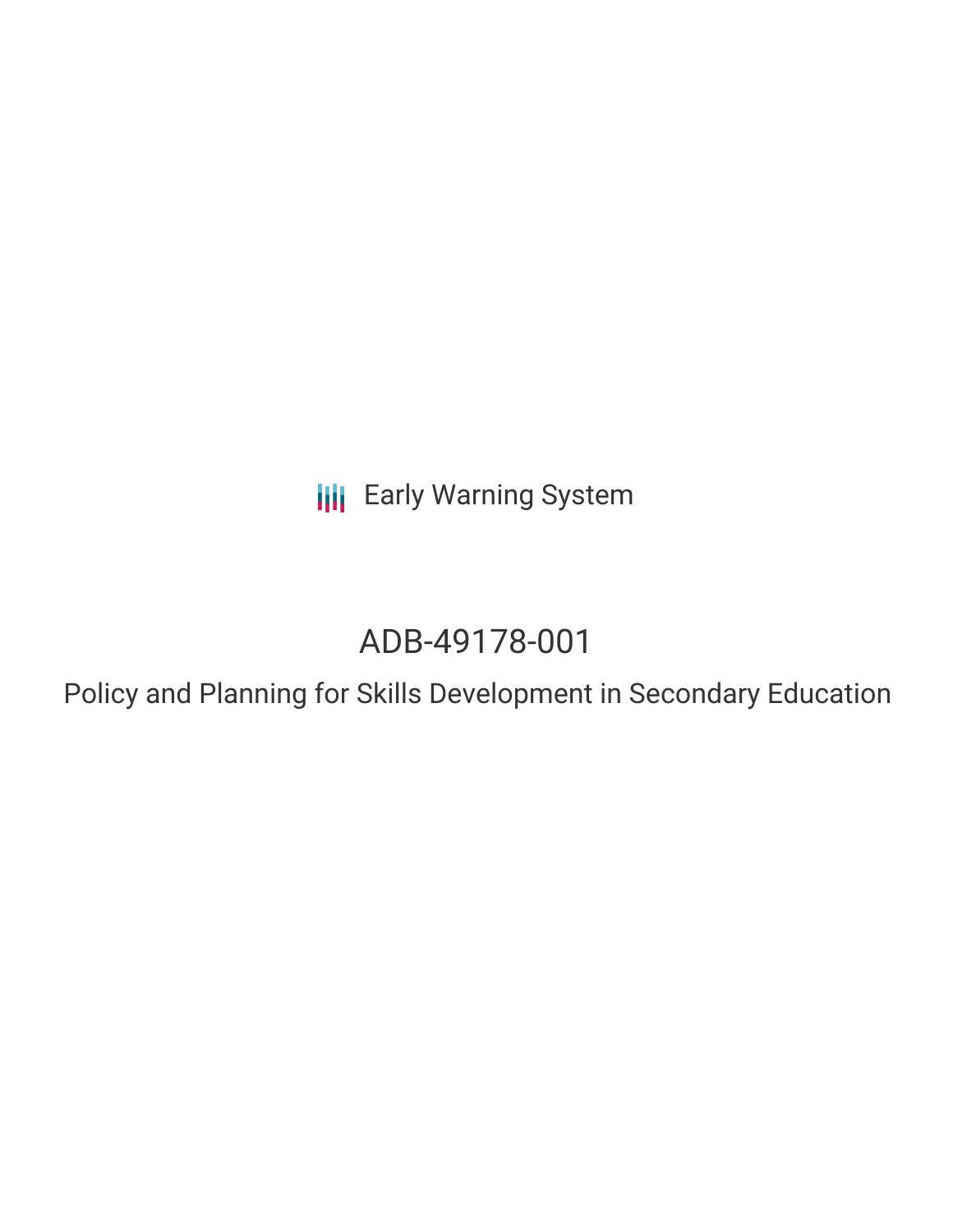**III** Early Warning System

# ADB-49178-001

Policy and Planning for Skills Development in Secondary Education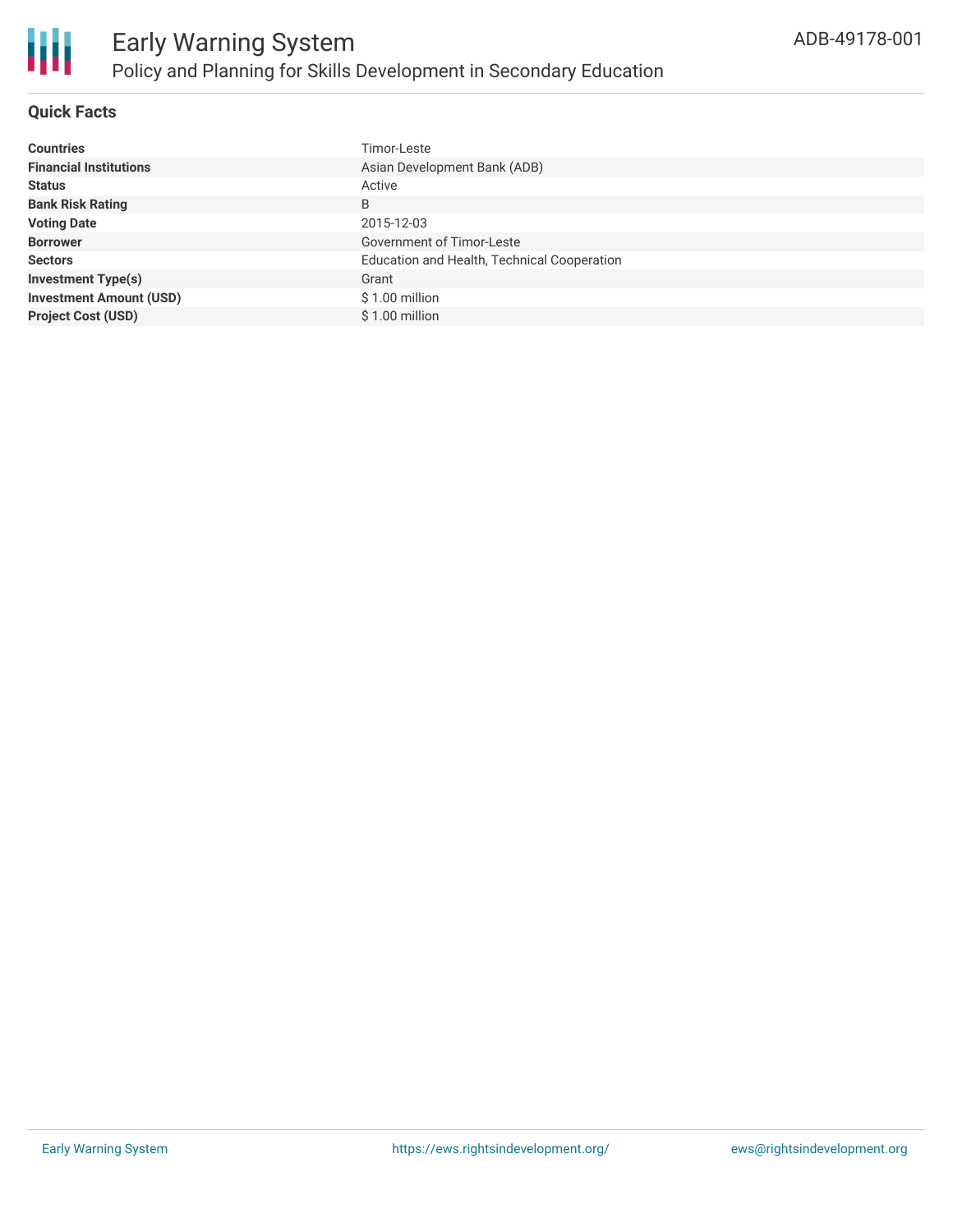

## **Quick Facts**

| <b>Countries</b>               | Timor-Leste                                 |
|--------------------------------|---------------------------------------------|
| <b>Financial Institutions</b>  | Asian Development Bank (ADB)                |
| <b>Status</b>                  | Active                                      |
| <b>Bank Risk Rating</b>        | B                                           |
| <b>Voting Date</b>             | 2015-12-03                                  |
| <b>Borrower</b>                | <b>Government of Timor-Leste</b>            |
| <b>Sectors</b>                 | Education and Health, Technical Cooperation |
| <b>Investment Type(s)</b>      | Grant                                       |
| <b>Investment Amount (USD)</b> | $$1.00$ million                             |
| <b>Project Cost (USD)</b>      | \$1.00 million                              |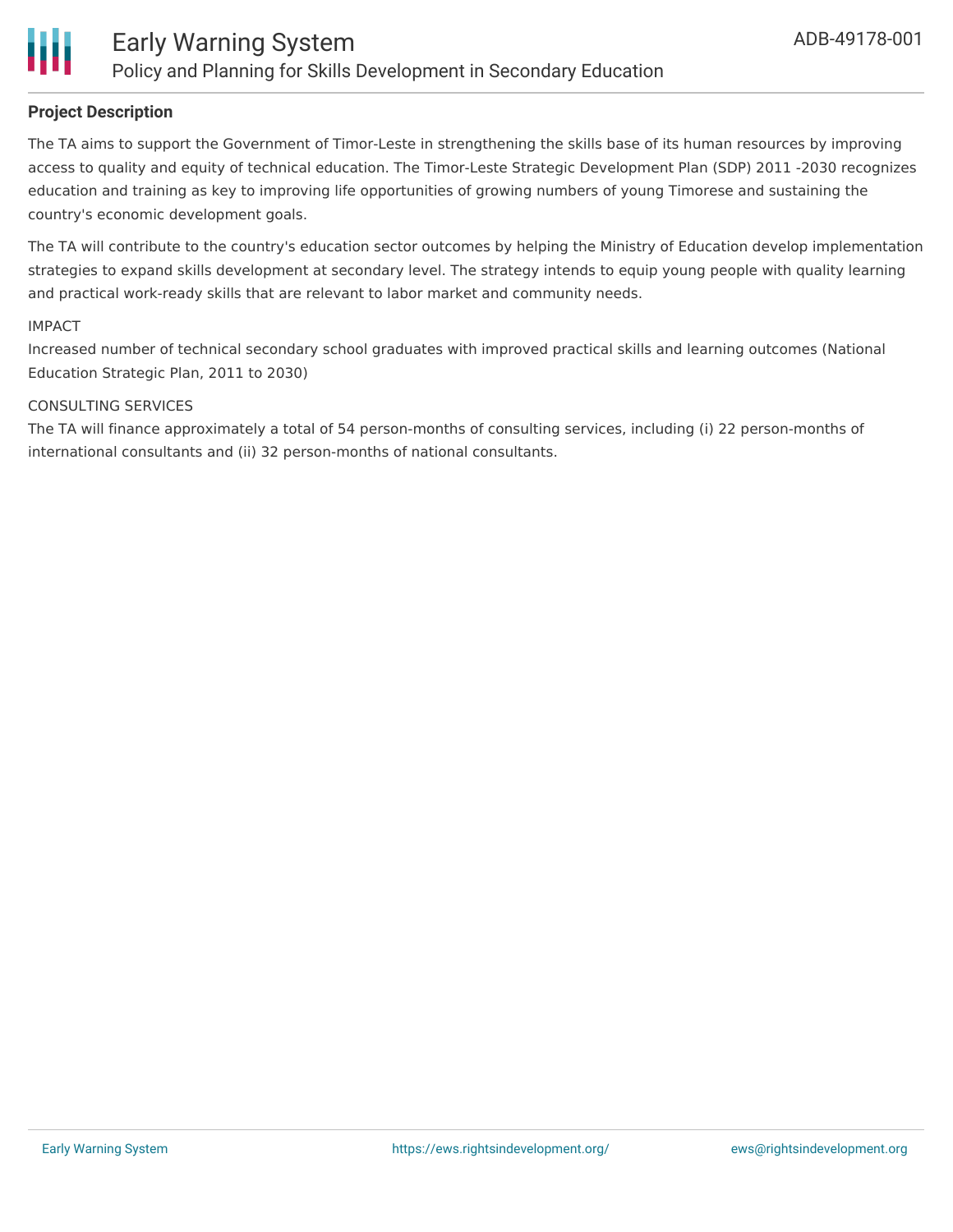

### **Project Description**

The TA aims to support the Government of Timor-Leste in strengthening the skills base of its human resources by improving access to quality and equity of technical education. The Timor-Leste Strategic Development Plan (SDP) 2011 -2030 recognizes education and training as key to improving life opportunities of growing numbers of young Timorese and sustaining the country's economic development goals.

The TA will contribute to the country's education sector outcomes by helping the Ministry of Education develop implementation strategies to expand skills development at secondary level. The strategy intends to equip young people with quality learning and practical work-ready skills that are relevant to labor market and community needs.

#### IMPACT

Increased number of technical secondary school graduates with improved practical skills and learning outcomes (National Education Strategic Plan, 2011 to 2030)

#### CONSULTING SERVICES

The TA will finance approximately a total of 54 person-months of consulting services, including (i) 22 person-months of international consultants and (ii) 32 person-months of national consultants.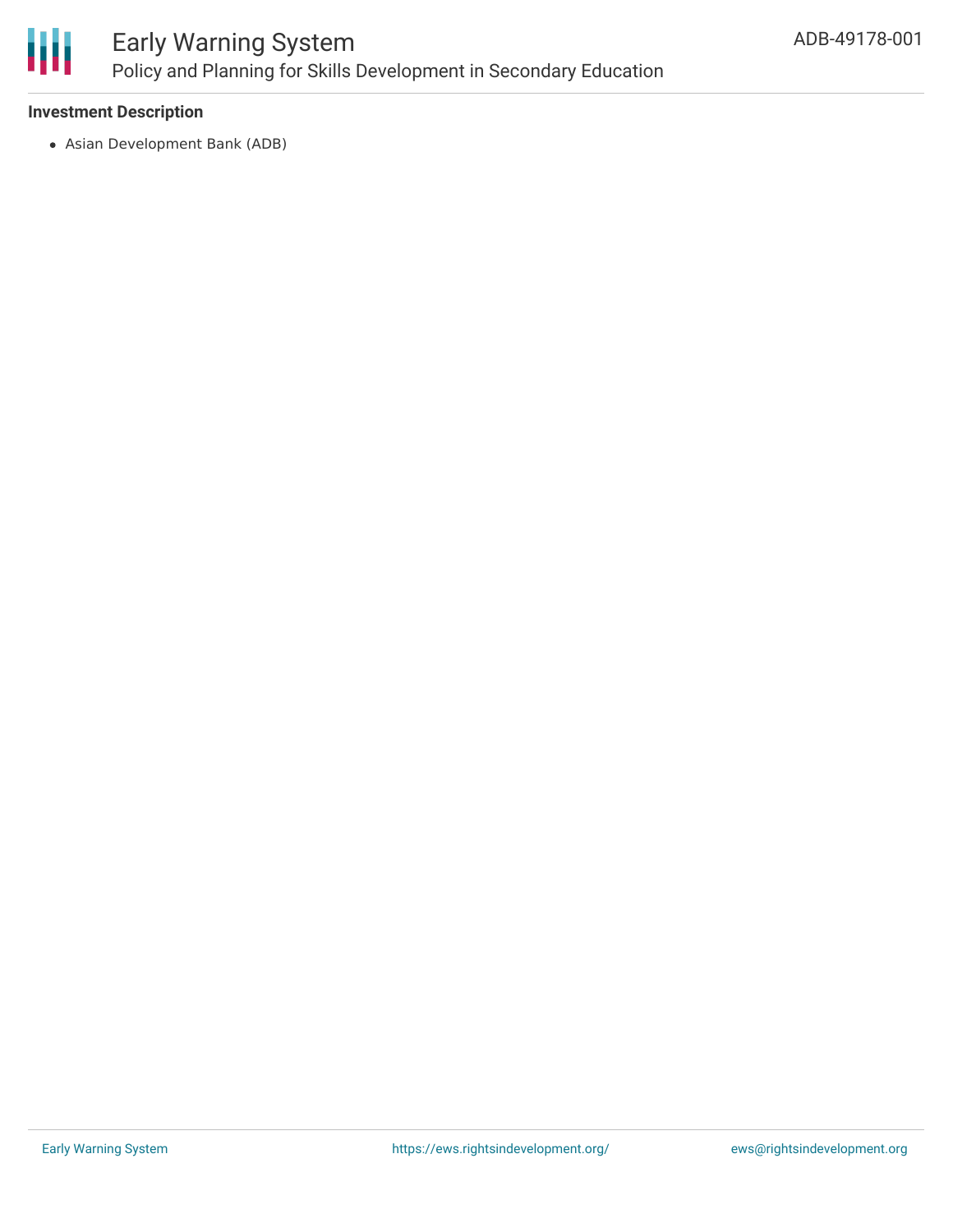

# Early Warning System Policy and Planning for Skills Development in Secondary Education

### **Investment Description**

Asian Development Bank (ADB)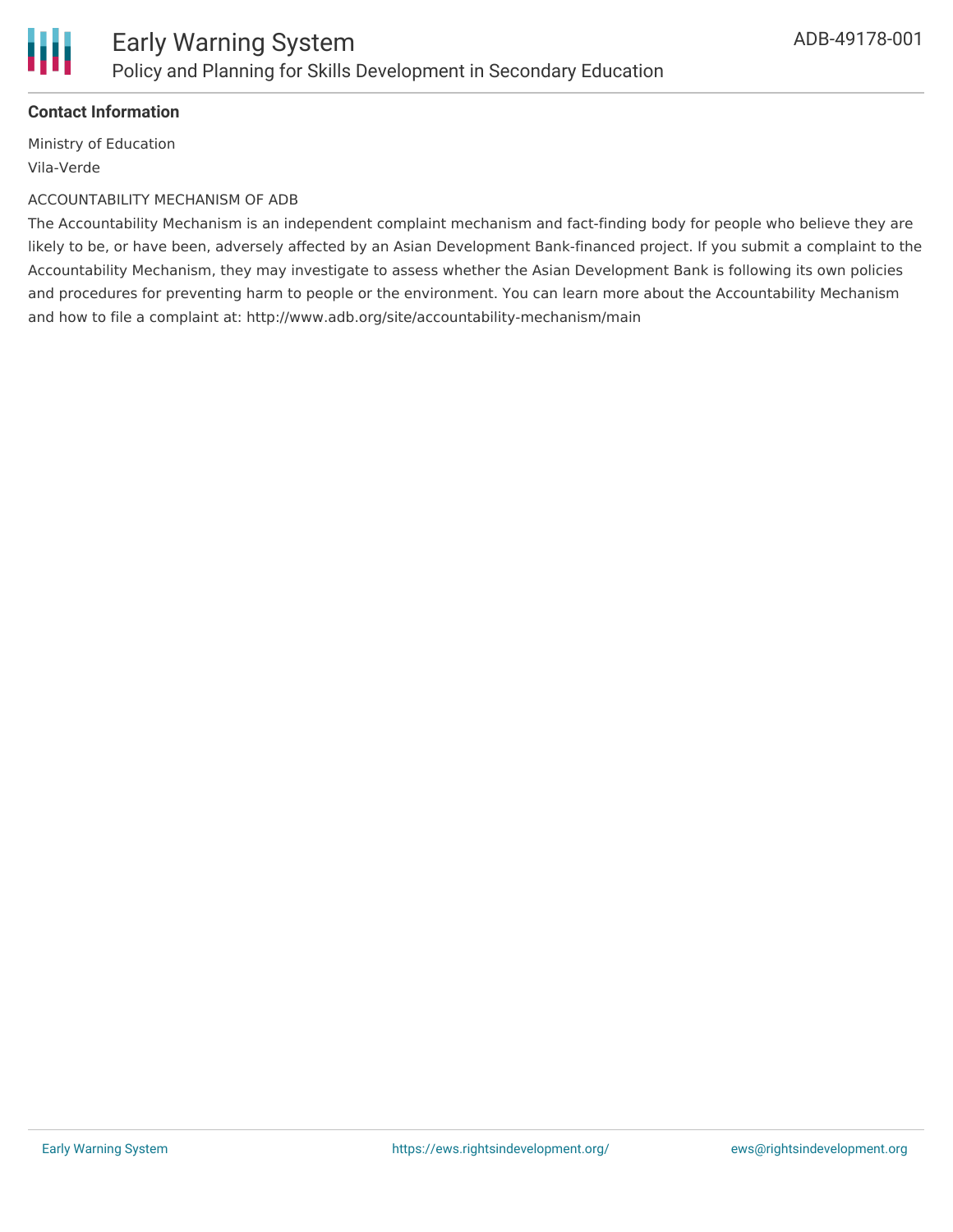

## **Contact Information**

Ministry of Education Vila-Verde

#### ACCOUNTABILITY MECHANISM OF ADB

The Accountability Mechanism is an independent complaint mechanism and fact-finding body for people who believe they are likely to be, or have been, adversely affected by an Asian Development Bank-financed project. If you submit a complaint to the Accountability Mechanism, they may investigate to assess whether the Asian Development Bank is following its own policies and procedures for preventing harm to people or the environment. You can learn more about the Accountability Mechanism and how to file a complaint at: http://www.adb.org/site/accountability-mechanism/main